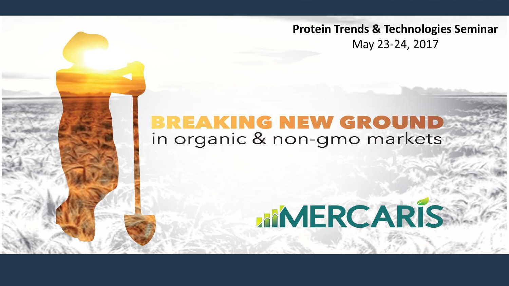**Protein Trends & Technologies Seminar** May 23-24, 2017

# **BREAKING NEW GROUND**<br>in organic & non-gmo markets

# **MMERCARIS**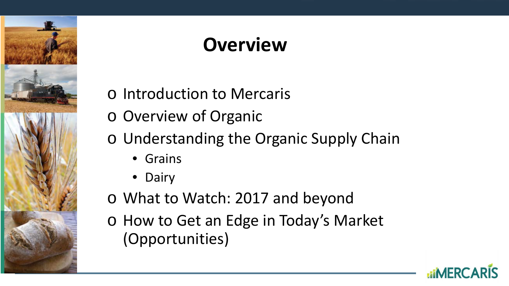

# **Overview**

- o Introduction to Mercaris
- o Overview of Organic
- o Understanding the Organic Supply Chain
	- Grains
	- Dairy
- o What to Watch: 2017 and beyond
- o How to Get an Edge in Today's Market (Opportunities)

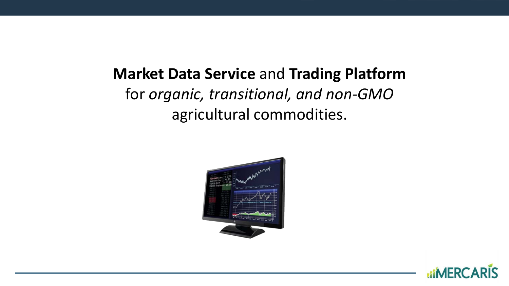### **Market Data Service** and **Trading Platform**  for *organic, transitional, and non-GMO*  agricultural commodities.



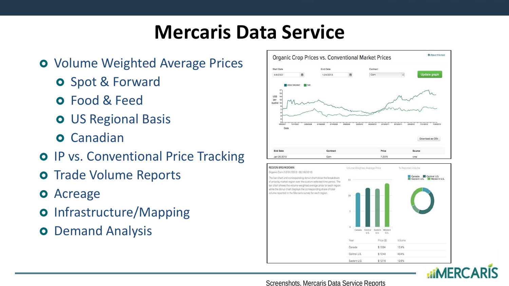# **Mercaris Data Service**

- **o** Volume Weighted Average Prices
	- **o** Spot & Forward
	- Food & Feed
	- **o** US Regional Basis
	- **O** Canadian
- **o** IP vs. Conventional Price Tracking
- **o** Trade Volume Reports
- Acreage
- **o** Infrastructure/Mapping
- **o** Demand Analysis







#### Screenshots, Mercaris Data Service Reports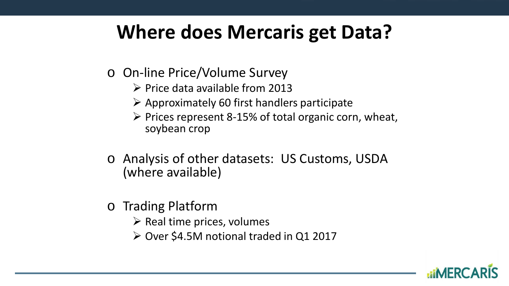# **Where does Mercaris get Data?**

- o On-line Price/Volume Survey
	- $\triangleright$  Price data available from 2013
	- $\triangleright$  Approximately 60 first handlers participate
	- $\triangleright$  Prices represent 8-15% of total organic corn, wheat, soybean crop
- o Analysis of other datasets: US Customs, USDA (where available)
- o Trading Platform
	- $\triangleright$  Real time prices, volumes
	- Over \$4.5M notional traded in Q1 2017

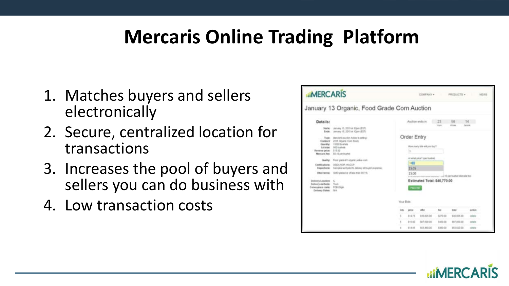# **Mercaris Online Trading Platform**

- 1. Matches buyers and sellers electronically
- 2. Secure, centralized location for transactions
- 3. Increases the pool of buyers and sellers you can do business with
- 4. Low transaction costs



**RIMERC**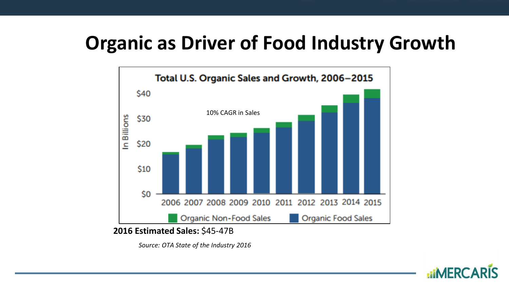# **Organic as Driver of Food Industry Growth**



*Source: OTA State of the Industry 2016*

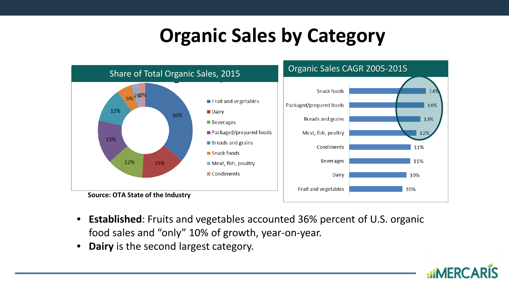# **Organic Sales by Category**



- **Established**: Fruits and vegetables accounted 36% percent of U.S. organic food sales and "only" 10% of growth, year-on-year.
- **Dairy** is the second largest category.

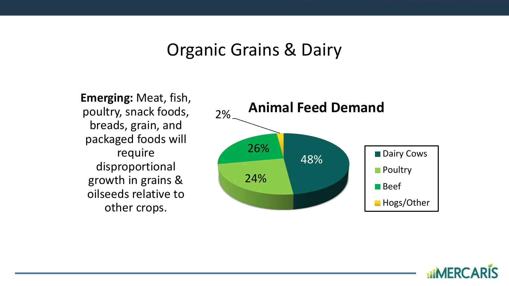#### Organic Grains & Dairy

**Emerging:** Meat, fish, poultry, snack foods, breads, grain, and packaged foods will require disproportional growth in grains & oilseeds relative to other crops.



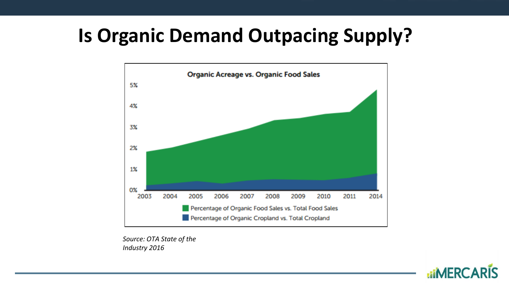# **Is Organic Demand Outpacing Supply?**



*Source: OTA State of the Industry 2016*

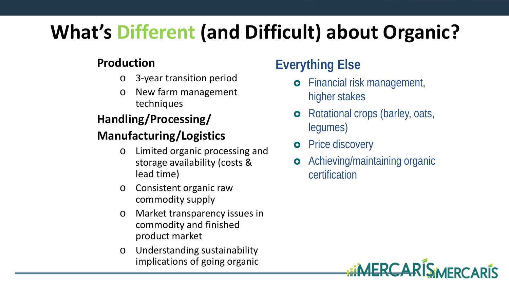# **What's Different (and Difficult) about Organic?**

#### **Production**

- o 3-year transition period
- o New farm management techniques

#### **Handling/Processing/**

#### **Manufacturing/Logistics**

- o Limited organic processing and storage availability (costs & lead time)
- o Consistent organic raw commodity supply
- o Market transparency issues in commodity and finished product market
- o Understanding sustainability implications of going organic

### **Everything Else**

- **o** Financial risk management, higher stakes
- **o** Rotational crops (barley, oats, legumes)
- **o** Price discovery
- **o** Achieving/maintaining organic certification

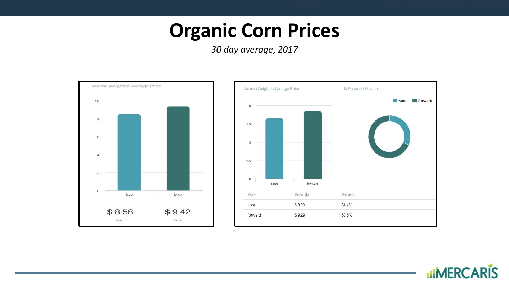## **Organic Corn Prices**

*30 day average, 2017*



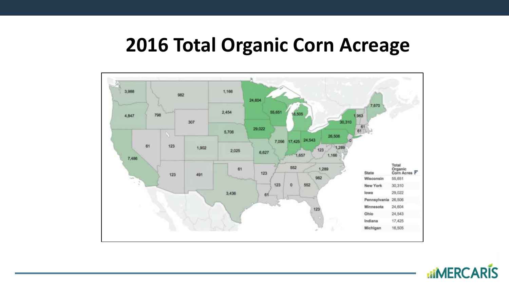# **2016 Total Organic Corn Acreage**



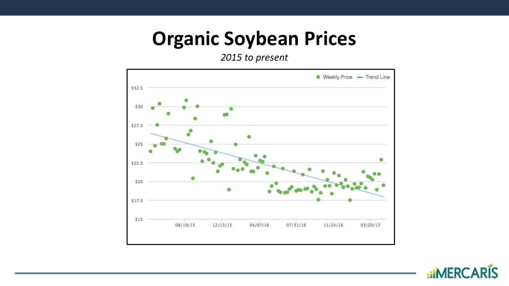# **Organic Soybean Prices**

*2015 to present*



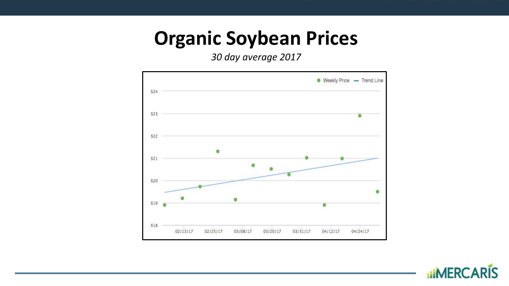## **Organic Soybean Prices**

*30 day average 2017*



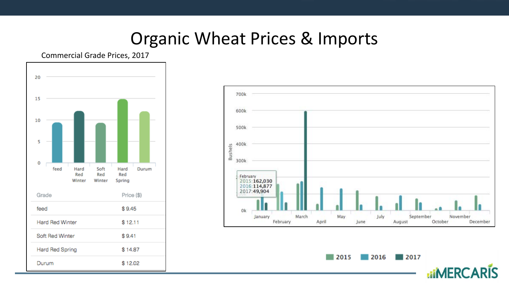### Organic Wheat Prices & Imports





 $\blacksquare$  2017  $\sqrt{2015}$  $\sqrt{2016}$ 

**uiMERCARIS**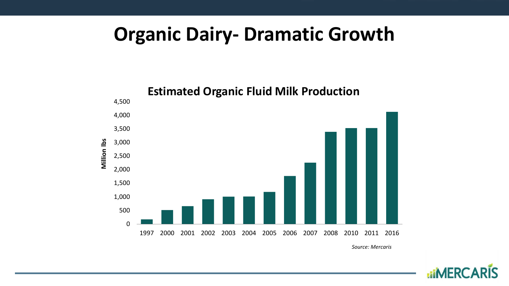## **Organic Dairy- Dramatic Growth**



*Source: Mercaris*

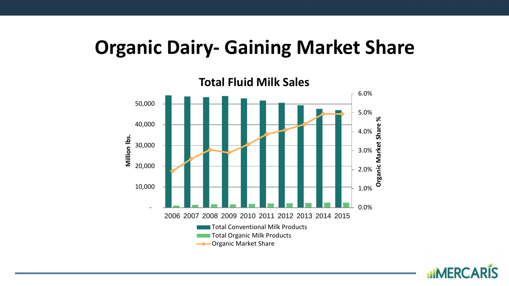### **Organic Dairy- Gaining Market Share**



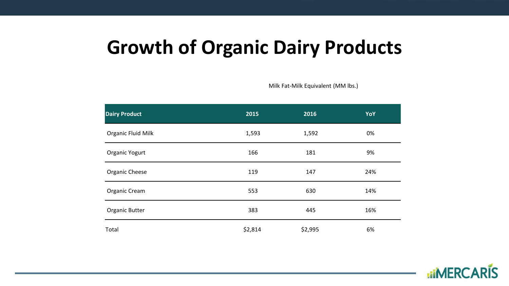# **Growth of Organic Dairy Products**

Milk Fat-Milk Equivalent (MM lbs.)

| <b>Dairy Product</b> | 2015    | 2016    | <b>YoY</b> |
|----------------------|---------|---------|------------|
| Organic Fluid Milk   | 1,593   | 1,592   | 0%         |
| Organic Yogurt       | 166     | 181     | 9%         |
| Organic Cheese       | 119     | 147     | 24%        |
| Organic Cream        | 553     | 630     | 14%        |
| Organic Butter       | 383     | 445     | 16%        |
| Total                | \$2,814 | \$2,995 | 6%         |

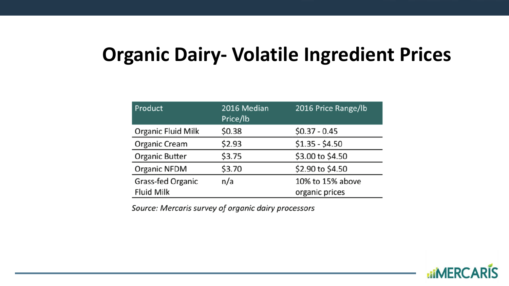# **Organic Dairy- Volatile Ingredient Prices**

| Product                   | 2016 Median<br>Price/lb | 2016 Price Range/lb |
|---------------------------|-------------------------|---------------------|
| <b>Organic Fluid Milk</b> | \$0.38                  | $$0.37 - 0.45$      |
| Organic Cream             | \$2.93                  | $$1.35 - $4.50$     |
| Organic Butter            | \$3.75                  | \$3.00 to \$4.50    |
| Organic NFDM              | \$3.70                  | \$2.90 to \$4.50    |
| Grass-fed Organic         | n/a                     | 10% to 15% above    |
| <b>Fluid Milk</b>         |                         | organic prices      |

Source: Mercaris survey of organic dairy processors

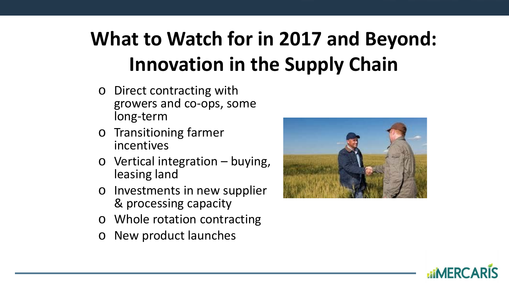# **What to Watch for in 2017 and Beyond: Innovation in the Supply Chain**

- o Direct contracting with growers and co-ops, some long-term
- o Transitioning farmer incentives
- $\circ$  Vertical integration buying, leasing land
- o Investments in new supplier & processing capacity
- o Whole rotation contracting
- New product launches



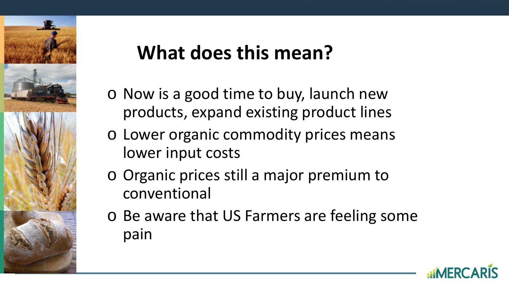

# **What does this mean?**

- o Now is a good time to buy, launch new products, expand existing product lines
- o Lower organic commodity prices means lower input costs
- o Organic prices still a major premium to conventional
- o Be aware that US Farmers are feeling some pain